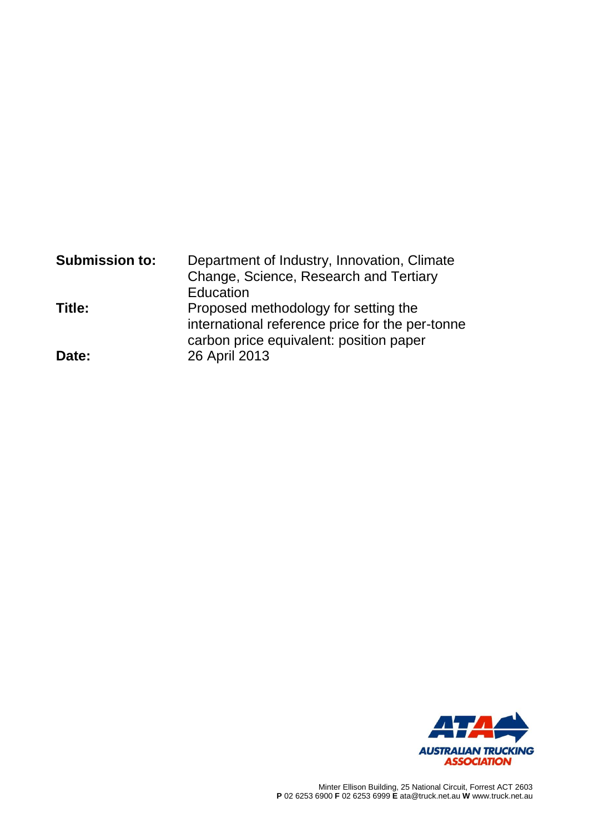| <b>Submission to:</b> | Department of Industry, Innovation, Climate<br>Change, Science, Research and Tertiary                                              |  |  |
|-----------------------|------------------------------------------------------------------------------------------------------------------------------------|--|--|
|                       | Education                                                                                                                          |  |  |
| Title:                | Proposed methodology for setting the<br>international reference price for the per-tonne<br>carbon price equivalent: position paper |  |  |
| Date:                 | 26 April 2013                                                                                                                      |  |  |

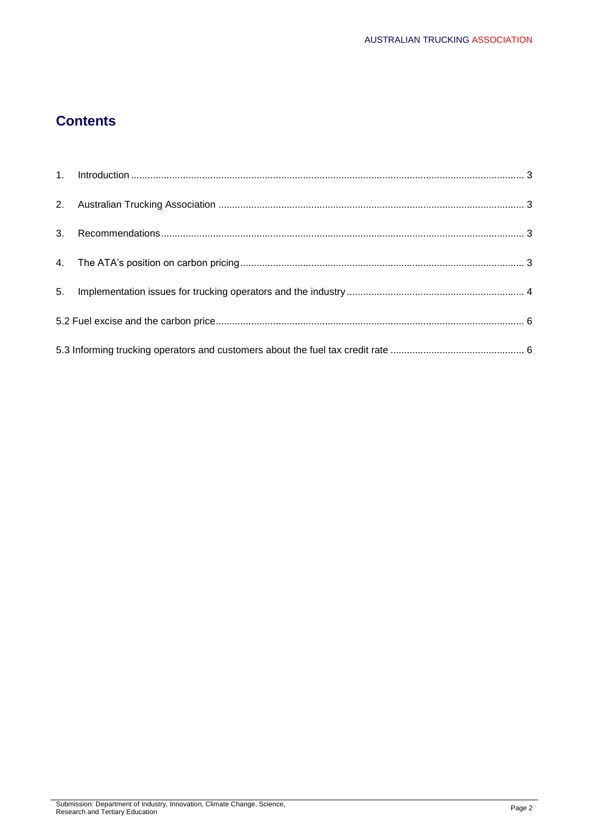# **Contents**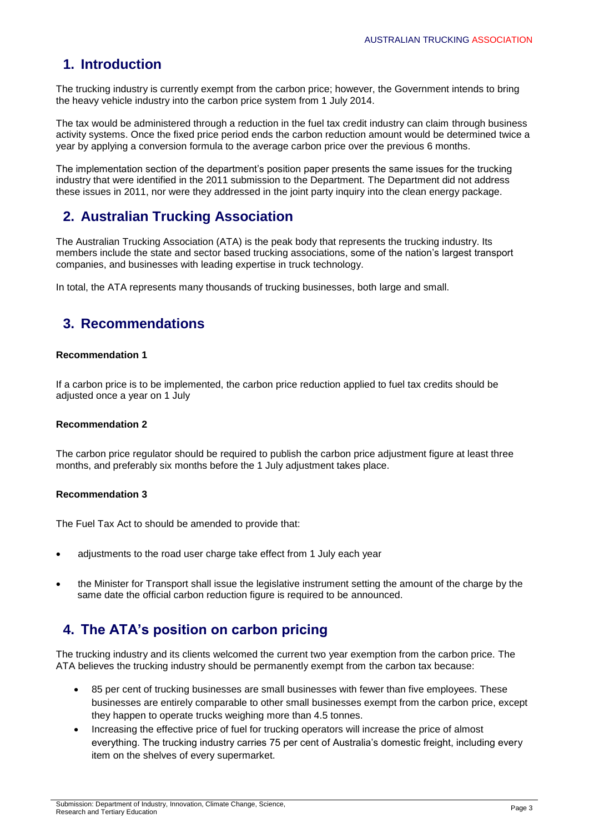# **1. Introduction**

The trucking industry is currently exempt from the carbon price; however, the Government intends to bring the heavy vehicle industry into the carbon price system from 1 July 2014.

The tax would be administered through a reduction in the fuel tax credit industry can claim through business activity systems. Once the fixed price period ends the carbon reduction amount would be determined twice a year by applying a conversion formula to the average carbon price over the previous 6 months.

The implementation section of the department's position paper presents the same issues for the trucking industry that were identified in the 2011 submission to the Department. The Department did not address these issues in 2011, nor were they addressed in the joint party inquiry into the clean energy package.

# **2. Australian Trucking Association**

The Australian Trucking Association (ATA) is the peak body that represents the trucking industry. Its members include the state and sector based trucking associations, some of the nation's largest transport companies, and businesses with leading expertise in truck technology.

In total, the ATA represents many thousands of trucking businesses, both large and small.

# **3. Recommendations**

## **Recommendation 1**

If a carbon price is to be implemented, the carbon price reduction applied to fuel tax credits should be adjusted once a year on 1 July

## **Recommendation 2**

The carbon price regulator should be required to publish the carbon price adjustment figure at least three months, and preferably six months before the 1 July adjustment takes place.

## **Recommendation 3**

The Fuel Tax Act to should be amended to provide that:

- adjustments to the road user charge take effect from 1 July each year
- the Minister for Transport shall issue the legislative instrument setting the amount of the charge by the same date the official carbon reduction figure is required to be announced.

# **4. The ATA's position on carbon pricing**

The trucking industry and its clients welcomed the current two year exemption from the carbon price. The ATA believes the trucking industry should be permanently exempt from the carbon tax because:

- 85 per cent of trucking businesses are small businesses with fewer than five employees. These businesses are entirely comparable to other small businesses exempt from the carbon price, except they happen to operate trucks weighing more than 4.5 tonnes.
- Increasing the effective price of fuel for trucking operators will increase the price of almost everything. The trucking industry carries 75 per cent of Australia's domestic freight, including every item on the shelves of every supermarket.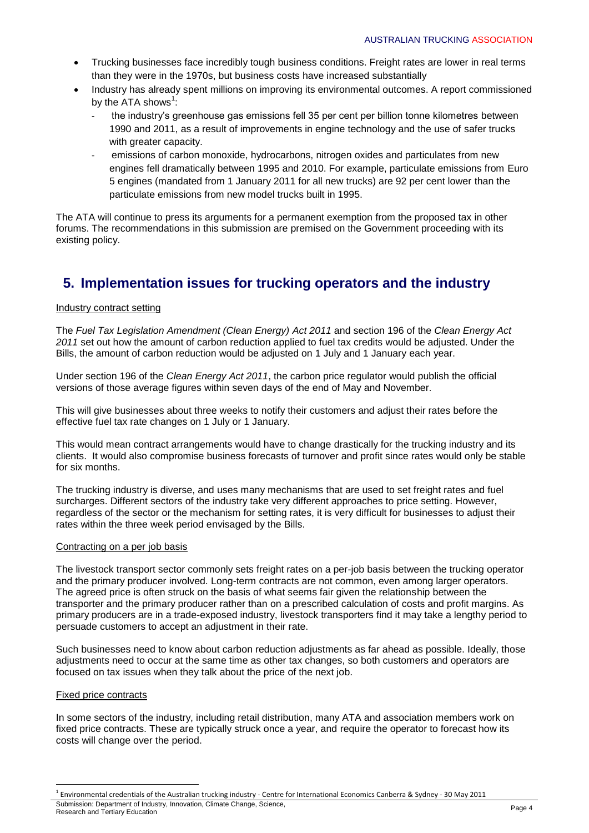- Trucking businesses face incredibly tough business conditions. Freight rates are lower in real terms than they were in the 1970s, but business costs have increased substantially
- Industry has already spent millions on improving its environmental outcomes. A report commissioned by the ATA shows $1$ :
	- the industry's greenhouse gas emissions fell 35 per cent per billion tonne kilometres between 1990 and 2011, as a result of improvements in engine technology and the use of safer trucks with greater capacity.
	- emissions of carbon monoxide, hydrocarbons, nitrogen oxides and particulates from new engines fell dramatically between 1995 and 2010. For example, particulate emissions from Euro 5 engines (mandated from 1 January 2011 for all new trucks) are 92 per cent lower than the particulate emissions from new model trucks built in 1995.

The ATA will continue to press its arguments for a permanent exemption from the proposed tax in other forums. The recommendations in this submission are premised on the Government proceeding with its existing policy.

# **5. Implementation issues for trucking operators and the industry**

### Industry contract setting

The *Fuel Tax Legislation Amendment (Clean Energy) Act 2011* and section 196 of the *Clean Energy Act 2011* set out how the amount of carbon reduction applied to fuel tax credits would be adjusted. Under the Bills, the amount of carbon reduction would be adjusted on 1 July and 1 January each year.

Under section 196 of the *Clean Energy Act 2011*, the carbon price regulator would publish the official versions of those average figures within seven days of the end of May and November.

This will give businesses about three weeks to notify their customers and adjust their rates before the effective fuel tax rate changes on 1 July or 1 January.

This would mean contract arrangements would have to change drastically for the trucking industry and its clients. It would also compromise business forecasts of turnover and profit since rates would only be stable for six months.

The trucking industry is diverse, and uses many mechanisms that are used to set freight rates and fuel surcharges. Different sectors of the industry take very different approaches to price setting. However, regardless of the sector or the mechanism for setting rates, it is very difficult for businesses to adjust their rates within the three week period envisaged by the Bills.

#### Contracting on a per job basis

The livestock transport sector commonly sets freight rates on a per-job basis between the trucking operator and the primary producer involved. Long-term contracts are not common, even among larger operators. The agreed price is often struck on the basis of what seems fair given the relationship between the transporter and the primary producer rather than on a prescribed calculation of costs and profit margins. As primary producers are in a trade-exposed industry, livestock transporters find it may take a lengthy period to persuade customers to accept an adjustment in their rate.

Such businesses need to know about carbon reduction adjustments as far ahead as possible. Ideally, those adjustments need to occur at the same time as other tax changes, so both customers and operators are focused on tax issues when they talk about the price of the next job.

#### Fixed price contracts

In some sectors of the industry, including retail distribution, many ATA and association members work on fixed price contracts. These are typically struck once a year, and require the operator to forecast how its costs will change over the period.

**.** 

Submission: Department of Industry, Innovation, Climate Change, Science, Research and Tertiary Education Page 4 1 Environmental credentials of the Australian trucking industry - Centre for International Economics Canberra & Sydney - 30 May 2011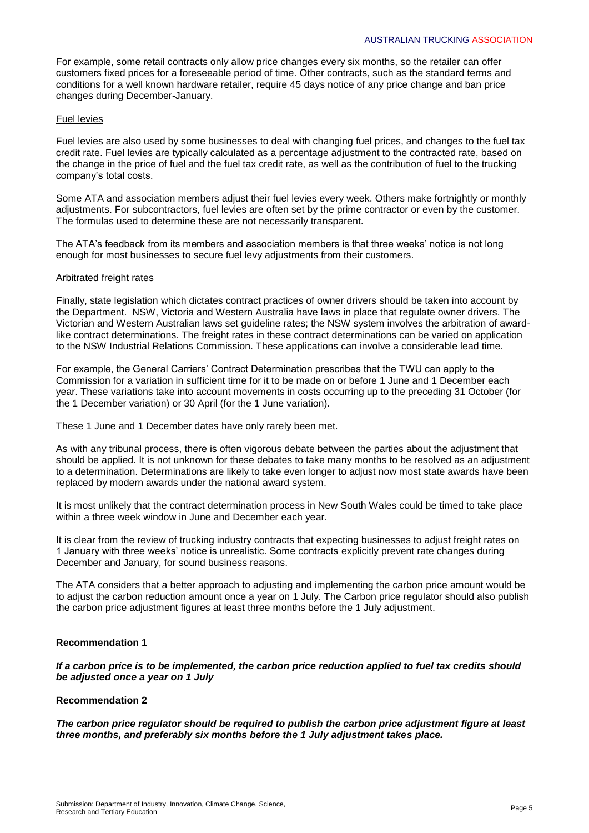For example, some retail contracts only allow price changes every six months, so the retailer can offer customers fixed prices for a foreseeable period of time. Other contracts, such as the standard terms and conditions for a well known hardware retailer, require 45 days notice of any price change and ban price changes during December-January.

### Fuel levies

Fuel levies are also used by some businesses to deal with changing fuel prices, and changes to the fuel tax credit rate. Fuel levies are typically calculated as a percentage adjustment to the contracted rate, based on the change in the price of fuel and the fuel tax credit rate, as well as the contribution of fuel to the trucking company's total costs.

Some ATA and association members adjust their fuel levies every week. Others make fortnightly or monthly adjustments. For subcontractors, fuel levies are often set by the prime contractor or even by the customer. The formulas used to determine these are not necessarily transparent.

The ATA's feedback from its members and association members is that three weeks' notice is not long enough for most businesses to secure fuel levy adjustments from their customers.

#### Arbitrated freight rates

Finally, state legislation which dictates contract practices of owner drivers should be taken into account by the Department. NSW, Victoria and Western Australia have laws in place that regulate owner drivers. The Victorian and Western Australian laws set guideline rates; the NSW system involves the arbitration of awardlike contract determinations. The freight rates in these contract determinations can be varied on application to the NSW Industrial Relations Commission. These applications can involve a considerable lead time.

For example, the General Carriers' Contract Determination prescribes that the TWU can apply to the Commission for a variation in sufficient time for it to be made on or before 1 June and 1 December each year. These variations take into account movements in costs occurring up to the preceding 31 October (for the 1 December variation) or 30 April (for the 1 June variation).

These 1 June and 1 December dates have only rarely been met.

As with any tribunal process, there is often vigorous debate between the parties about the adjustment that should be applied. It is not unknown for these debates to take many months to be resolved as an adjustment to a determination. Determinations are likely to take even longer to adjust now most state awards have been replaced by modern awards under the national award system.

It is most unlikely that the contract determination process in New South Wales could be timed to take place within a three week window in June and December each year.

It is clear from the review of trucking industry contracts that expecting businesses to adjust freight rates on 1 January with three weeks' notice is unrealistic. Some contracts explicitly prevent rate changes during December and January, for sound business reasons.

The ATA considers that a better approach to adjusting and implementing the carbon price amount would be to adjust the carbon reduction amount once a year on 1 July. The Carbon price regulator should also publish the carbon price adjustment figures at least three months before the 1 July adjustment.

#### **Recommendation 1**

*If a carbon price is to be implemented, the carbon price reduction applied to fuel tax credits should be adjusted once a year on 1 July*

## **Recommendation 2**

*The carbon price regulator should be required to publish the carbon price adjustment figure at least three months, and preferably six months before the 1 July adjustment takes place.*